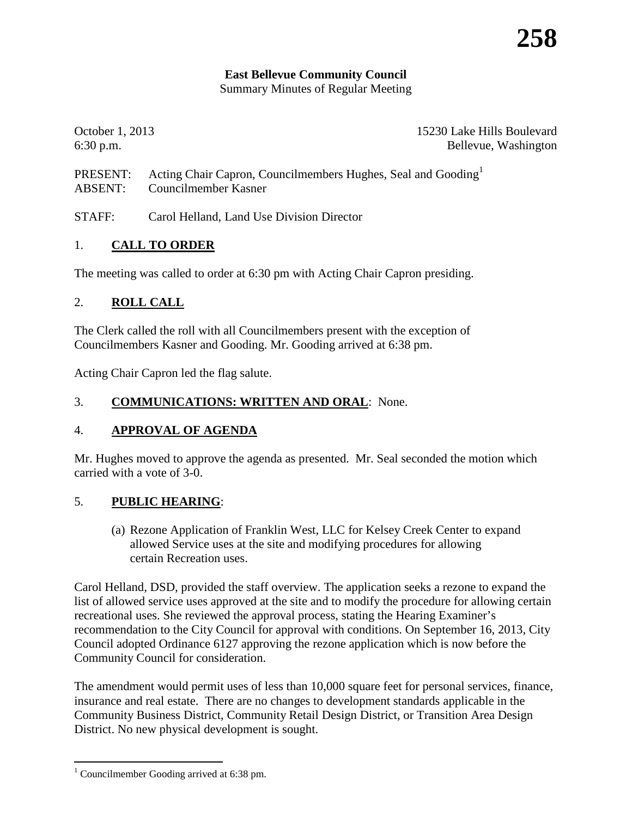## **East Bellevue Community Council**

Summary Minutes of Regular Meeting

October 1, 2013 15230 Lake Hills Boulevard 6:30 p.m. Bellevue, Washington

PRESENT: Acting Chair Capron, Councilmembers Hughes, Seal and Gooding<sup>[1](#page-0-0)</sup> ABSENT: Councilmember Kasner

STAFF: Carol Helland, Land Use Division Director

### 1. **CALL TO ORDER**

The meeting was called to order at 6:30 pm with Acting Chair Capron presiding.

### 2. **ROLL CALL**

The Clerk called the roll with all Councilmembers present with the exception of Councilmembers Kasner and Gooding. Mr. Gooding arrived at 6:38 pm.

Acting Chair Capron led the flag salute.

### 3. **COMMUNICATIONS: WRITTEN AND ORAL**: None.

### 4. **APPROVAL OF AGENDA**

Mr. Hughes moved to approve the agenda as presented. Mr. Seal seconded the motion which carried with a vote of 3-0.

### 5. **PUBLIC HEARING**:

(a) Rezone Application of Franklin West, LLC for Kelsey Creek Center to expand allowed Service uses at the site and modifying procedures for allowing certain Recreation uses.

Carol Helland, DSD, provided the staff overview. The application seeks a rezone to expand the list of allowed service uses approved at the site and to modify the procedure for allowing certain recreational uses. She reviewed the approval process, stating the Hearing Examiner's recommendation to the City Council for approval with conditions. On September 16, 2013, City Council adopted Ordinance 6127 approving the rezone application which is now before the Community Council for consideration.

The amendment would permit uses of less than 10,000 square feet for personal services, finance, insurance and real estate. There are no changes to development standards applicable in the Community Business District, Community Retail Design District, or Transition Area Design District. No new physical development is sought.

<span id="page-0-0"></span><sup>&</sup>lt;sup>1</sup> Councilmember Gooding arrived at 6:38 pm.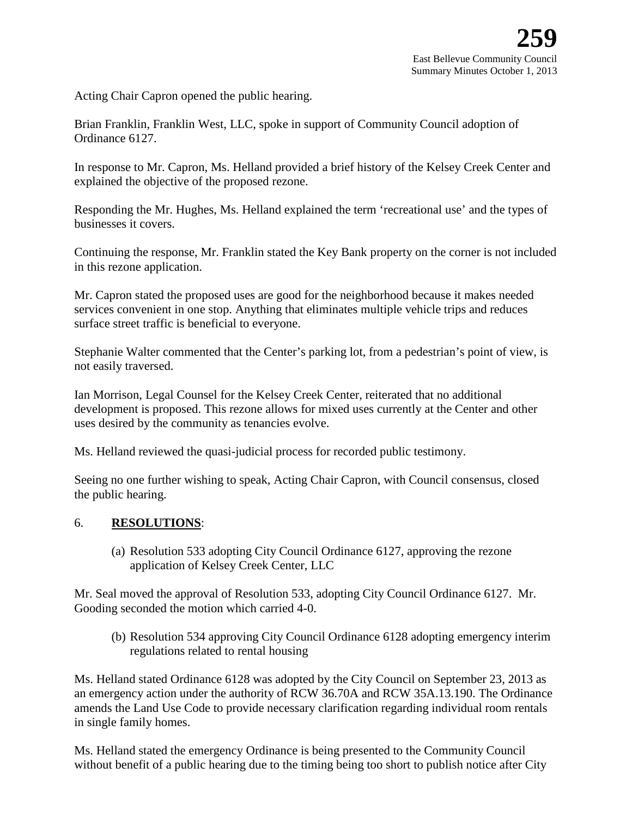Acting Chair Capron opened the public hearing.

Brian Franklin, Franklin West, LLC, spoke in support of Community Council adoption of Ordinance 6127.

In response to Mr. Capron, Ms. Helland provided a brief history of the Kelsey Creek Center and explained the objective of the proposed rezone.

Responding the Mr. Hughes, Ms. Helland explained the term 'recreational use' and the types of businesses it covers.

Continuing the response, Mr. Franklin stated the Key Bank property on the corner is not included in this rezone application.

Mr. Capron stated the proposed uses are good for the neighborhood because it makes needed services convenient in one stop. Anything that eliminates multiple vehicle trips and reduces surface street traffic is beneficial to everyone.

Stephanie Walter commented that the Center's parking lot, from a pedestrian's point of view, is not easily traversed.

Ian Morrison, Legal Counsel for the Kelsey Creek Center, reiterated that no additional development is proposed. This rezone allows for mixed uses currently at the Center and other uses desired by the community as tenancies evolve.

Ms. Helland reviewed the quasi-judicial process for recorded public testimony.

Seeing no one further wishing to speak, Acting Chair Capron, with Council consensus, closed the public hearing.

#### 6. **RESOLUTIONS**:

(a) Resolution 533 adopting City Council Ordinance 6127, approving the rezone application of Kelsey Creek Center, LLC

Mr. Seal moved the approval of Resolution 533, adopting City Council Ordinance 6127. Mr. Gooding seconded the motion which carried 4-0.

(b) Resolution 534 approving City Council Ordinance 6128 adopting emergency interim regulations related to rental housing

Ms. Helland stated Ordinance 6128 was adopted by the City Council on September 23, 2013 as an emergency action under the authority of RCW 36.70A and RCW 35A.13.190. The Ordinance amends the Land Use Code to provide necessary clarification regarding individual room rentals in single family homes.

Ms. Helland stated the emergency Ordinance is being presented to the Community Council without benefit of a public hearing due to the timing being too short to publish notice after City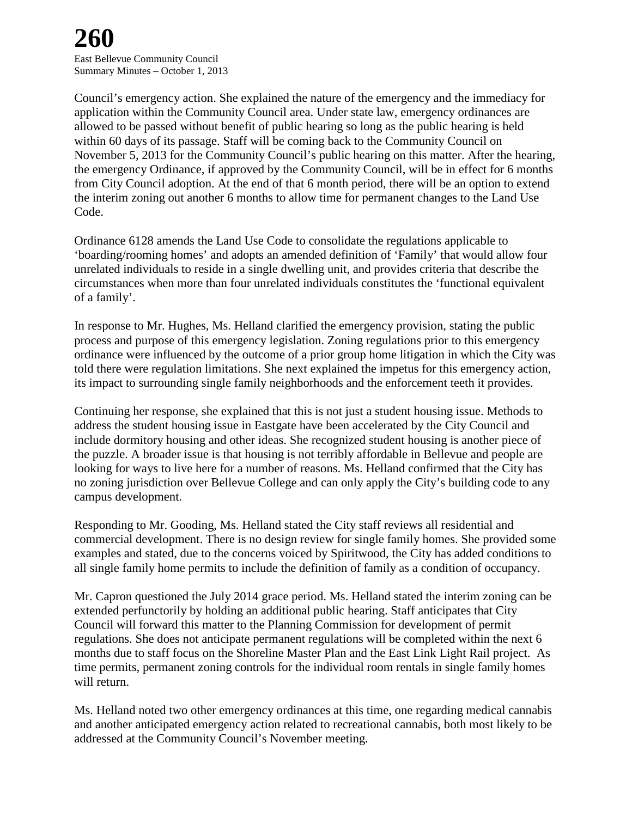# **260**

East Bellevue Community Council Summary Minutes – October 1, 2013

Council's emergency action. She explained the nature of the emergency and the immediacy for application within the Community Council area. Under state law, emergency ordinances are allowed to be passed without benefit of public hearing so long as the public hearing is held within 60 days of its passage. Staff will be coming back to the Community Council on November 5, 2013 for the Community Council's public hearing on this matter. After the hearing, the emergency Ordinance, if approved by the Community Council, will be in effect for 6 months from City Council adoption. At the end of that 6 month period, there will be an option to extend the interim zoning out another 6 months to allow time for permanent changes to the Land Use Code.

Ordinance 6128 amends the Land Use Code to consolidate the regulations applicable to 'boarding/rooming homes' and adopts an amended definition of 'Family' that would allow four unrelated individuals to reside in a single dwelling unit, and provides criteria that describe the circumstances when more than four unrelated individuals constitutes the 'functional equivalent of a family'.

In response to Mr. Hughes, Ms. Helland clarified the emergency provision, stating the public process and purpose of this emergency legislation. Zoning regulations prior to this emergency ordinance were influenced by the outcome of a prior group home litigation in which the City was told there were regulation limitations. She next explained the impetus for this emergency action, its impact to surrounding single family neighborhoods and the enforcement teeth it provides.

Continuing her response, she explained that this is not just a student housing issue. Methods to address the student housing issue in Eastgate have been accelerated by the City Council and include dormitory housing and other ideas. She recognized student housing is another piece of the puzzle. A broader issue is that housing is not terribly affordable in Bellevue and people are looking for ways to live here for a number of reasons. Ms. Helland confirmed that the City has no zoning jurisdiction over Bellevue College and can only apply the City's building code to any campus development.

Responding to Mr. Gooding, Ms. Helland stated the City staff reviews all residential and commercial development. There is no design review for single family homes. She provided some examples and stated, due to the concerns voiced by Spiritwood, the City has added conditions to all single family home permits to include the definition of family as a condition of occupancy.

Mr. Capron questioned the July 2014 grace period. Ms. Helland stated the interim zoning can be extended perfunctorily by holding an additional public hearing. Staff anticipates that City Council will forward this matter to the Planning Commission for development of permit regulations. She does not anticipate permanent regulations will be completed within the next 6 months due to staff focus on the Shoreline Master Plan and the East Link Light Rail project. As time permits, permanent zoning controls for the individual room rentals in single family homes will return.

Ms. Helland noted two other emergency ordinances at this time, one regarding medical cannabis and another anticipated emergency action related to recreational cannabis, both most likely to be addressed at the Community Council's November meeting.